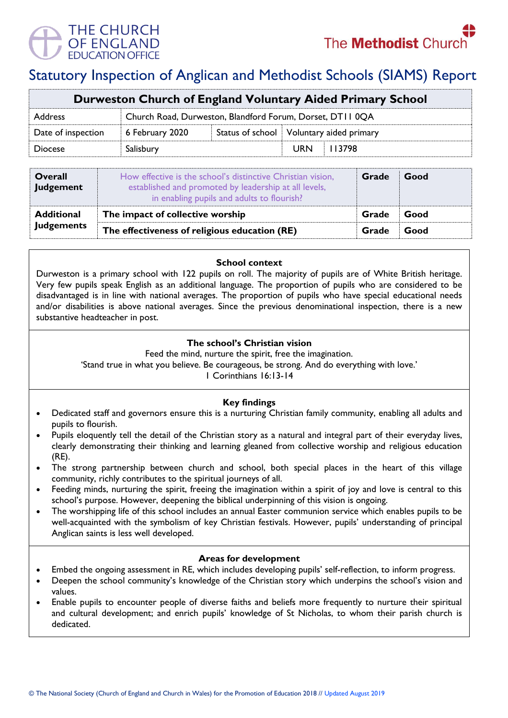

# Statutory Inspection of Anglican and Methodist Schools (SIAMS) Report

| Durweston Church of England Voluntary Aided Primary School |  |  |  |  |  |
|------------------------------------------------------------|--|--|--|--|--|
| Church Road, Durweston, Blandford Forum, Dorset, DT110QA   |  |  |  |  |  |
| Status of school   Voluntary aided primary                 |  |  |  |  |  |
|                                                            |  |  |  |  |  |
|                                                            |  |  |  |  |  |

| <b>Overall</b><br>Judgement | How effective is the school's distinctive Christian vision,<br>established and promoted by leadership at all levels,<br>in enabling pupils and adults to flourish? | Grade | Good |
|-----------------------------|--------------------------------------------------------------------------------------------------------------------------------------------------------------------|-------|------|
| <b>Additional</b>           | The impact of collective worship                                                                                                                                   | Grade | Good |
| <b>Judgements</b>           | The effectiveness of religious education (RE)                                                                                                                      | Grade | Good |

**School context** 

Durweston is a primary school with 122 pupils on roll. The majority of pupils are of White British heritage. Very few pupils speak English as an additional language. The proportion of pupils who are considered to be disadvantaged is in line with national averages. The proportion of pupils who have special educational needs and/or disabilities is above national averages. Since the previous denominational inspection, there is a new substantive headteacher in post.

# **The school's Christian vision**

Feed the mind, nurture the spirit, free the imagination.

'Stand true in what you believe. Be courageous, be strong. And do everything with love.'

1 Corinthians 16:13-14

# **Key findings**

- Dedicated staff and governors ensure this is a nurturing Christian family community, enabling all adults and pupils to flourish.
- Pupils eloquently tell the detail of the Christian story as a natural and integral part of their everyday lives, clearly demonstrating their thinking and learning gleaned from collective worship and religious education (RE).
- The strong partnership between church and school, both special places in the heart of this village community, richly contributes to the spiritual journeys of all.
- Feeding minds, nurturing the spirit, freeing the imagination within a spirit of joy and love is central to this school's purpose. However, deepening the biblical underpinning of this vision is ongoing.
- The worshipping life of this school includes an annual Easter communion service which enables pupils to be well-acquainted with the symbolism of key Christian festivals. However, pupils' understanding of principal Anglican saints is less well developed.

## **Areas for development**

- Embed the ongoing assessment in RE, which includes developing pupils' self-reflection, to inform progress.
- Deepen the school community's knowledge of the Christian story which underpins the school's vision and values.
- Enable pupils to encounter people of diverse faiths and beliefs more frequently to nurture their spiritual and cultural development; and enrich pupils' knowledge of St Nicholas, to whom their parish church is dedicated.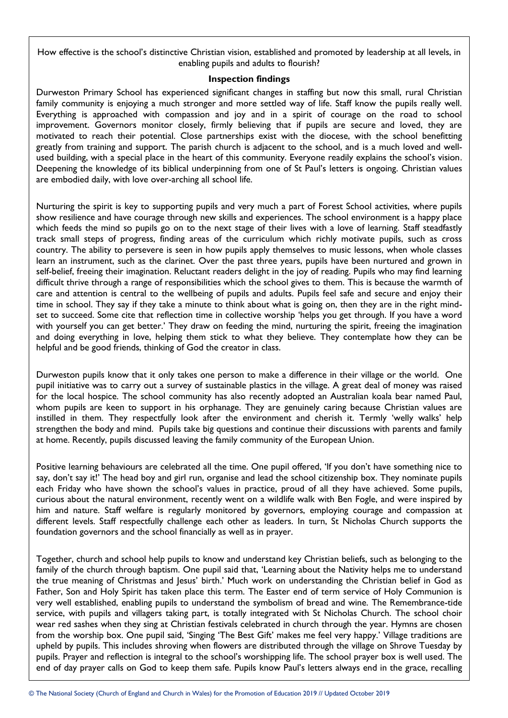How effective is the school's distinctive Christian vision, established and promoted by leadership at all levels, in enabling pupils and adults to flourish?

### **Inspection findings**

Durweston Primary School has experienced significant changes in staffing but now this small, rural Christian family community is enjoying a much stronger and more settled way of life. Staff know the pupils really well. Everything is approached with compassion and joy and in a spirit of courage on the road to school improvement. Governors monitor closely, firmly believing that if pupils are secure and loved, they are motivated to reach their potential. Close partnerships exist with the diocese, with the school benefitting greatly from training and support. The parish church is adjacent to the school, and is a much loved and wellused building, with a special place in the heart of this community. Everyone readily explains the school's vision. Deepening the knowledge of its biblical underpinning from one of St Paul's letters is ongoing. Christian values are embodied daily, with love over-arching all school life.

Nurturing the spirit is key to supporting pupils and very much a part of Forest School activities, where pupils show resilience and have courage through new skills and experiences. The school environment is a happy place which feeds the mind so pupils go on to the next stage of their lives with a love of learning. Staff steadfastly track small steps of progress, finding areas of the curriculum which richly motivate pupils, such as cross country. The ability to persevere is seen in how pupils apply themselves to music lessons, when whole classes learn an instrument, such as the clarinet. Over the past three years, pupils have been nurtured and grown in self-belief, freeing their imagination. Reluctant readers delight in the joy of reading. Pupils who may find learning difficult thrive through a range of responsibilities which the school gives to them. This is because the warmth of care and attention is central to the wellbeing of pupils and adults. Pupils feel safe and secure and enjoy their time in school. They say if they take a minute to think about what is going on, then they are in the right mindset to succeed. Some cite that reflection time in collective worship 'helps you get through. If you have a word with yourself you can get better.' They draw on feeding the mind, nurturing the spirit, freeing the imagination and doing everything in love, helping them stick to what they believe. They contemplate how they can be helpful and be good friends, thinking of God the creator in class.

Durweston pupils know that it only takes one person to make a difference in their village or the world. One pupil initiative was to carry out a survey of sustainable plastics in the village. A great deal of money was raised for the local hospice. The school community has also recently adopted an Australian koala bear named Paul, whom pupils are keen to support in his orphanage. They are genuinely caring because Christian values are instilled in them. They respectfully look after the environment and cherish it. Termly 'welly walks' help strengthen the body and mind. Pupils take big questions and continue their discussions with parents and family at home. Recently, pupils discussed leaving the family community of the European Union.

Positive learning behaviours are celebrated all the time. One pupil offered, 'If you don't have something nice to say, don't say it!' The head boy and girl run, organise and lead the school citizenship box. They nominate pupils each Friday who have shown the school's values in practice, proud of all they have achieved. Some pupils, curious about the natural environment, recently went on a wildlife walk with Ben Fogle, and were inspired by him and nature. Staff welfare is regularly monitored by governors, employing courage and compassion at different levels. Staff respectfully challenge each other as leaders. In turn, St Nicholas Church supports the foundation governors and the school financially as well as in prayer.

Together, church and school help pupils to know and understand key Christian beliefs, such as belonging to the family of the church through baptism. One pupil said that, 'Learning about the Nativity helps me to understand the true meaning of Christmas and Jesus' birth.' Much work on understanding the Christian belief in God as Father, Son and Holy Spirit has taken place this term. The Easter end of term service of Holy Communion is very well established, enabling pupils to understand the symbolism of bread and wine. The Remembrance-tide service, with pupils and villagers taking part, is totally integrated with St Nicholas Church. The school choir wear red sashes when they sing at Christian festivals celebrated in church through the year. Hymns are chosen from the worship box. One pupil said, 'Singing 'The Best Gift' makes me feel very happy.' Village traditions are upheld by pupils. This includes shroving when flowers are distributed through the village on Shrove Tuesday by pupils. Prayer and reflection is integral to the school's worshipping life. The school prayer box is well used. The end of day prayer calls on God to keep them safe. Pupils know Paul's letters always end in the grace, recalling